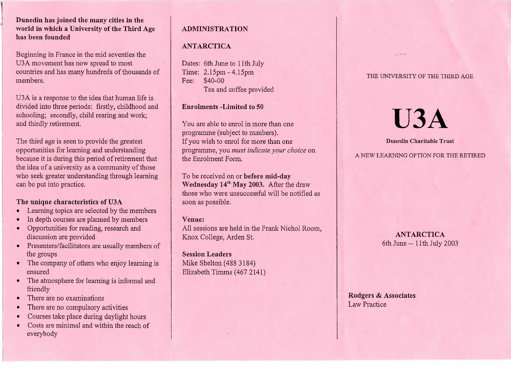### **Dunedin has joined the many cities in the world in which a University of the Third Agehas been founded**

Beginning in France in the mid seventies theU3A movement has now spread to most countries and has many hundreds of thousands ofmembers.

USA is a response to the idea that human life is divided into three periods: firstly, childhood andschooling; secondly, child rearing and work;and thirdly retirement.

The third age is seen to provide the greatest opportunities for learning and understanding because it is during this period of retirement that the idea of a university as a community of those who seek greater understanding through learningcan be put into practice.

# **The unique characteristics of U3A**

- Learning topics are selected by the members
- In depth courses are planned by members
- Opportunities for reading, research anddiscussion are provided
- Presenters/facilitators are usually members ofthe groups
- The company of others who enjoy learning isensured
- The atmosphere for learning is informal andfriendly
- There are no examinations
- There are no compulsory activities
- Courses take place during daylight hours
- Costs are minimal and within the reach ofeverybody

# **ADMINISTRATION**

# **ANTARCTICA**

Dates: 6th June to 11th JulyTime: 2.15pm -4.15pmFee: \$40-00Tea and coffee provided

# **Enrolments -Limited to** 50

You are able to enrol in more than oneprogramme (subject to numbers). If you wish to enrol for more than one programme, you *must indicate your choice* onthe Enrolment Form.

To be received on or **before mid-dayWednesday 14<sup>th</sup> May 2003.** After the draw those who were unsuccessful will be notified assoon as possible.

# **Venue:**

 All sessions are held in the Frank Nichol Room,Knox College, Arden St.

Session **Leaders**Mike Shelton (488 3184) Elizabeth Timms (467 2141) THE UNIVERSITY OF THE THIRD AGE

**USA**

#### **Dunedin Charitable Trust**

A NEW LEARNING OPTION FOR THE RETIRED

**ANTARCTICA**6th June-- llth July 2003

**Rodgers** *&* **Associates**Law Practice